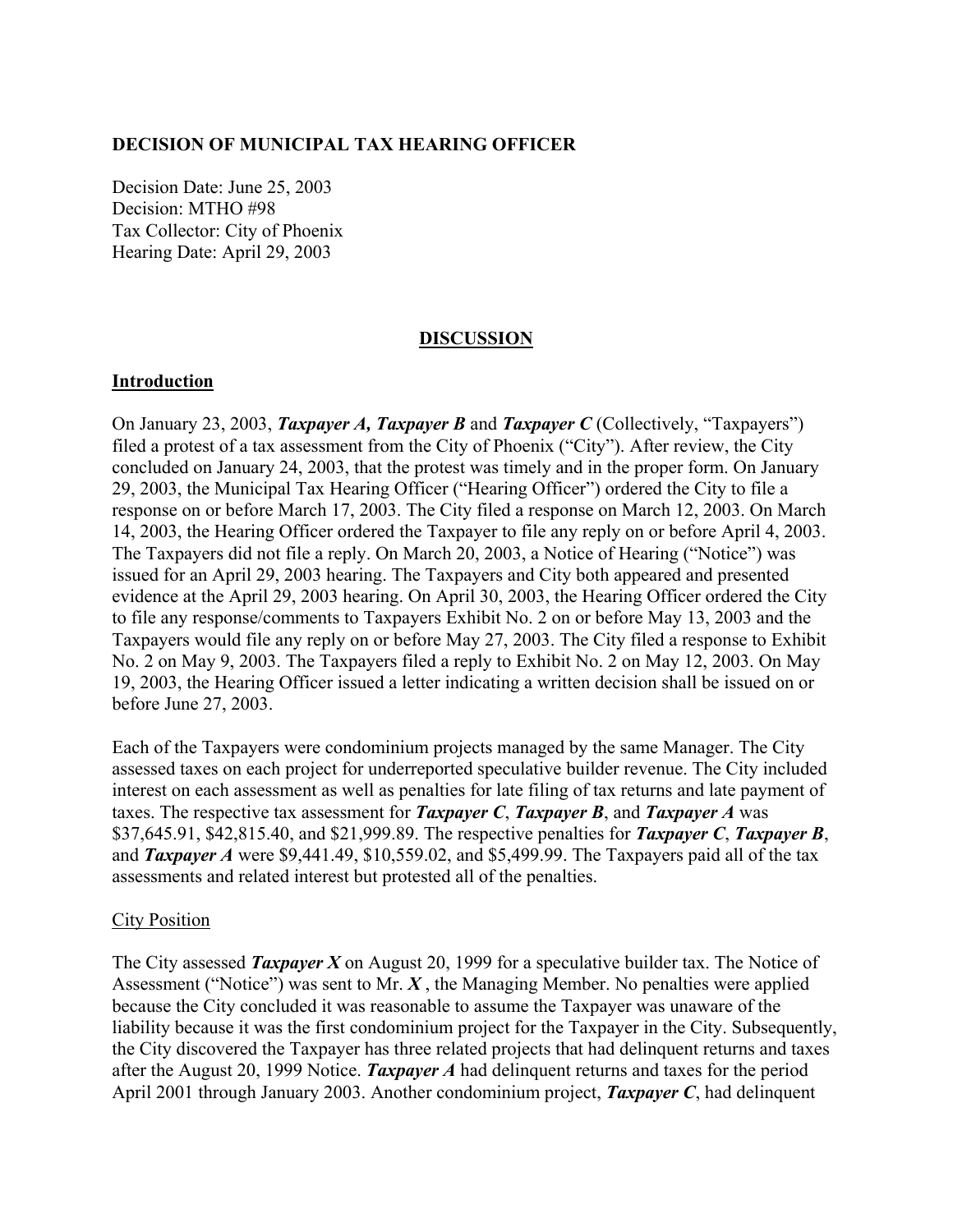#### **DECISION OF MUNICIPAL TAX HEARING OFFICER**

Decision Date: June 25, 2003 Decision: MTHO #98 Tax Collector: City of Phoenix Hearing Date: April 29, 2003

## **DISCUSSION**

#### **Introduction**

On January 23, 2003, *Taxpayer A, Taxpayer B* and *Taxpayer C* (Collectively, "Taxpayers") filed a protest of a tax assessment from the City of Phoenix ("City"). After review, the City concluded on January 24, 2003, that the protest was timely and in the proper form. On January 29, 2003, the Municipal Tax Hearing Officer ("Hearing Officer") ordered the City to file a response on or before March 17, 2003. The City filed a response on March 12, 2003. On March 14, 2003, the Hearing Officer ordered the Taxpayer to file any reply on or before April 4, 2003. The Taxpayers did not file a reply. On March 20, 2003, a Notice of Hearing ("Notice") was issued for an April 29, 2003 hearing. The Taxpayers and City both appeared and presented evidence at the April 29, 2003 hearing. On April 30, 2003, the Hearing Officer ordered the City to file any response/comments to Taxpayers Exhibit No. 2 on or before May 13, 2003 and the Taxpayers would file any reply on or before May 27, 2003. The City filed a response to Exhibit No. 2 on May 9, 2003. The Taxpayers filed a reply to Exhibit No. 2 on May 12, 2003. On May 19, 2003, the Hearing Officer issued a letter indicating a written decision shall be issued on or before June 27, 2003.

Each of the Taxpayers were condominium projects managed by the same Manager. The City assessed taxes on each project for underreported speculative builder revenue. The City included interest on each assessment as well as penalties for late filing of tax returns and late payment of taxes. The respective tax assessment for *Taxpayer C*, *Taxpayer B*, and *Taxpayer A* was \$37,645.91, \$42,815.40, and \$21,999.89. The respective penalties for *Taxpayer C*, *Taxpayer B*, and *Taxpayer A* were \$9,441.49, \$10,559.02, and \$5,499.99. The Taxpayers paid all of the tax assessments and related interest but protested all of the penalties.

#### City Position

The City assessed *Taxpayer X* on August 20, 1999 for a speculative builder tax. The Notice of Assessment ("Notice") was sent to Mr. *X* , the Managing Member. No penalties were applied because the City concluded it was reasonable to assume the Taxpayer was unaware of the liability because it was the first condominium project for the Taxpayer in the City. Subsequently, the City discovered the Taxpayer has three related projects that had delinquent returns and taxes after the August 20, 1999 Notice. *Taxpayer A* had delinquent returns and taxes for the period April 2001 through January 2003. Another condominium project, *Taxpayer C*, had delinquent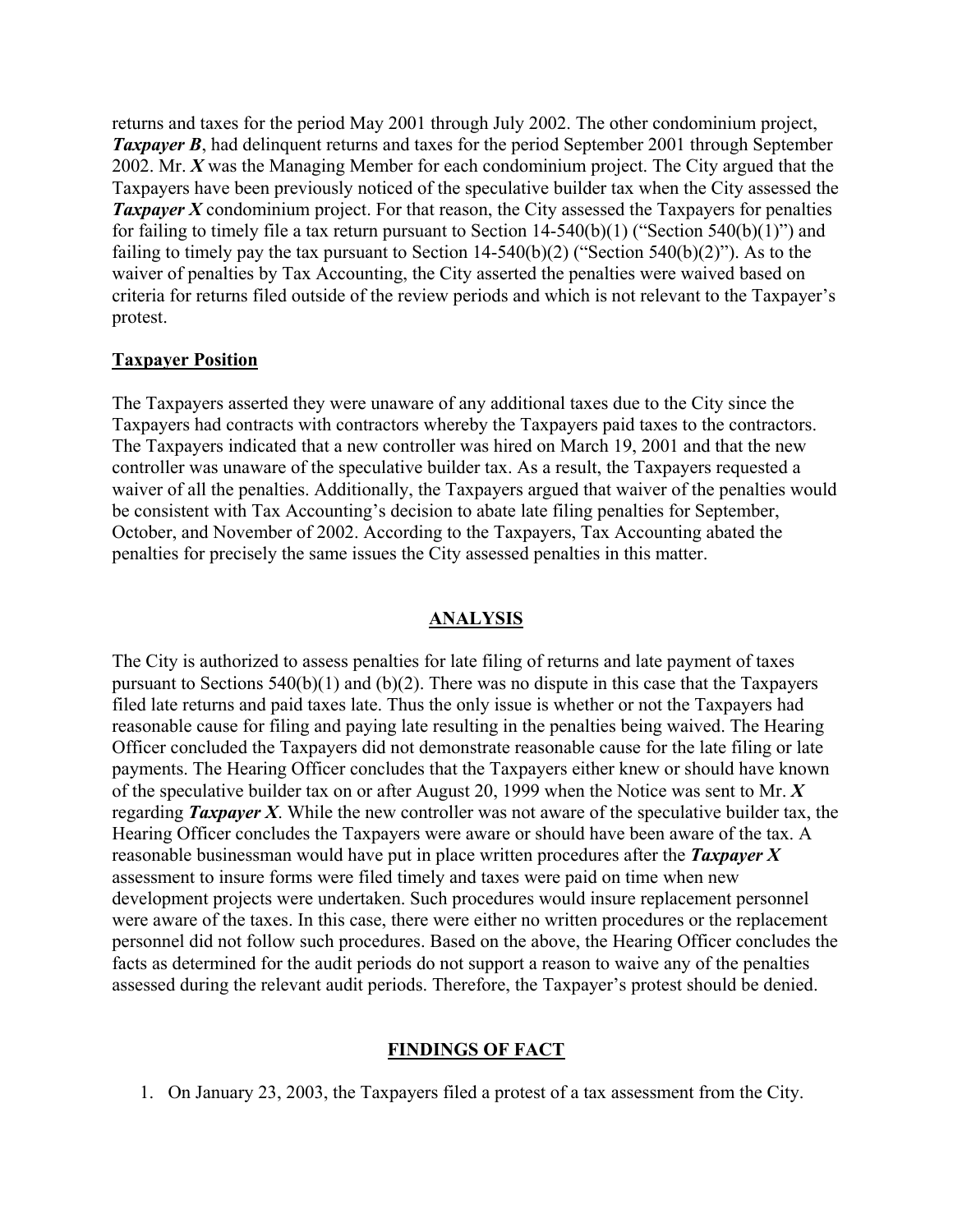returns and taxes for the period May 2001 through July 2002. The other condominium project, *Taxpayer B*, had delinquent returns and taxes for the period September 2001 through September 2002. Mr. *X* was the Managing Member for each condominium project. The City argued that the Taxpayers have been previously noticed of the speculative builder tax when the City assessed the **Taxpayer X** condominium project. For that reason, the City assessed the Taxpayers for penalties for failing to timely file a tax return pursuant to Section  $14-540(b)(1)$  ("Section  $540(b)(1)$ ") and failing to timely pay the tax pursuant to Section  $14-540(b)(2)$  ("Section  $540(b)(2)$ "). As to the waiver of penalties by Tax Accounting, the City asserted the penalties were waived based on criteria for returns filed outside of the review periods and which is not relevant to the Taxpayer's protest.

### **Taxpayer Position**

The Taxpayers asserted they were unaware of any additional taxes due to the City since the Taxpayers had contracts with contractors whereby the Taxpayers paid taxes to the contractors. The Taxpayers indicated that a new controller was hired on March 19, 2001 and that the new controller was unaware of the speculative builder tax. As a result, the Taxpayers requested a waiver of all the penalties. Additionally, the Taxpayers argued that waiver of the penalties would be consistent with Tax Accounting's decision to abate late filing penalties for September, October, and November of 2002. According to the Taxpayers, Tax Accounting abated the penalties for precisely the same issues the City assessed penalties in this matter.

### **ANALYSIS**

The City is authorized to assess penalties for late filing of returns and late payment of taxes pursuant to Sections 540(b)(1) and (b)(2). There was no dispute in this case that the Taxpayers filed late returns and paid taxes late. Thus the only issue is whether or not the Taxpayers had reasonable cause for filing and paying late resulting in the penalties being waived. The Hearing Officer concluded the Taxpayers did not demonstrate reasonable cause for the late filing or late payments. The Hearing Officer concludes that the Taxpayers either knew or should have known of the speculative builder tax on or after August 20, 1999 when the Notice was sent to Mr. *X* regarding *Taxpayer X*. While the new controller was not aware of the speculative builder tax, the Hearing Officer concludes the Taxpayers were aware or should have been aware of the tax. A reasonable businessman would have put in place written procedures after the *Taxpayer X* assessment to insure forms were filed timely and taxes were paid on time when new development projects were undertaken. Such procedures would insure replacement personnel were aware of the taxes. In this case, there were either no written procedures or the replacement personnel did not follow such procedures. Based on the above, the Hearing Officer concludes the facts as determined for the audit periods do not support a reason to waive any of the penalties assessed during the relevant audit periods. Therefore, the Taxpayer's protest should be denied.

# **FINDINGS OF FACT**

1. On January 23, 2003, the Taxpayers filed a protest of a tax assessment from the City.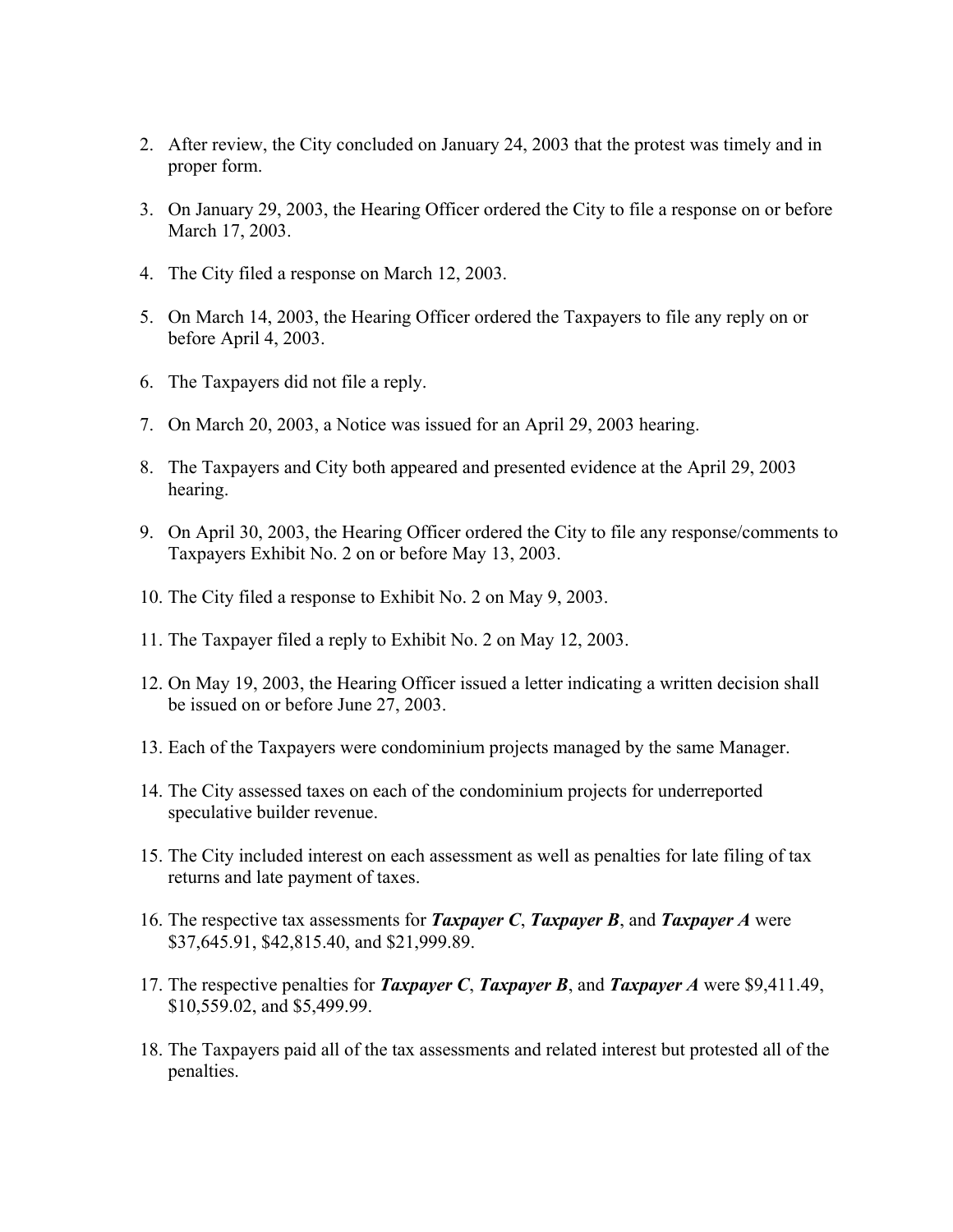- 2. After review, the City concluded on January 24, 2003 that the protest was timely and in proper form.
- 3. On January 29, 2003, the Hearing Officer ordered the City to file a response on or before March 17, 2003.
- 4. The City filed a response on March 12, 2003.
- 5. On March 14, 2003, the Hearing Officer ordered the Taxpayers to file any reply on or before April 4, 2003.
- 6. The Taxpayers did not file a reply.
- 7. On March 20, 2003, a Notice was issued for an April 29, 2003 hearing.
- 8. The Taxpayers and City both appeared and presented evidence at the April 29, 2003 hearing.
- 9. On April 30, 2003, the Hearing Officer ordered the City to file any response/comments to Taxpayers Exhibit No. 2 on or before May 13, 2003.
- 10. The City filed a response to Exhibit No. 2 on May 9, 2003.
- 11. The Taxpayer filed a reply to Exhibit No. 2 on May 12, 2003.
- 12. On May 19, 2003, the Hearing Officer issued a letter indicating a written decision shall be issued on or before June 27, 2003.
- 13. Each of the Taxpayers were condominium projects managed by the same Manager.
- 14. The City assessed taxes on each of the condominium projects for underreported speculative builder revenue.
- 15. The City included interest on each assessment as well as penalties for late filing of tax returns and late payment of taxes.
- 16. The respective tax assessments for *Taxpayer C*, *Taxpayer B*, and *Taxpayer A* were \$37,645.91, \$42,815.40, and \$21,999.89.
- 17. The respective penalties for *Taxpayer C*, *Taxpayer B*, and *Taxpayer A* were \$9,411.49, \$10,559.02, and \$5,499.99.
- 18. The Taxpayers paid all of the tax assessments and related interest but protested all of the penalties.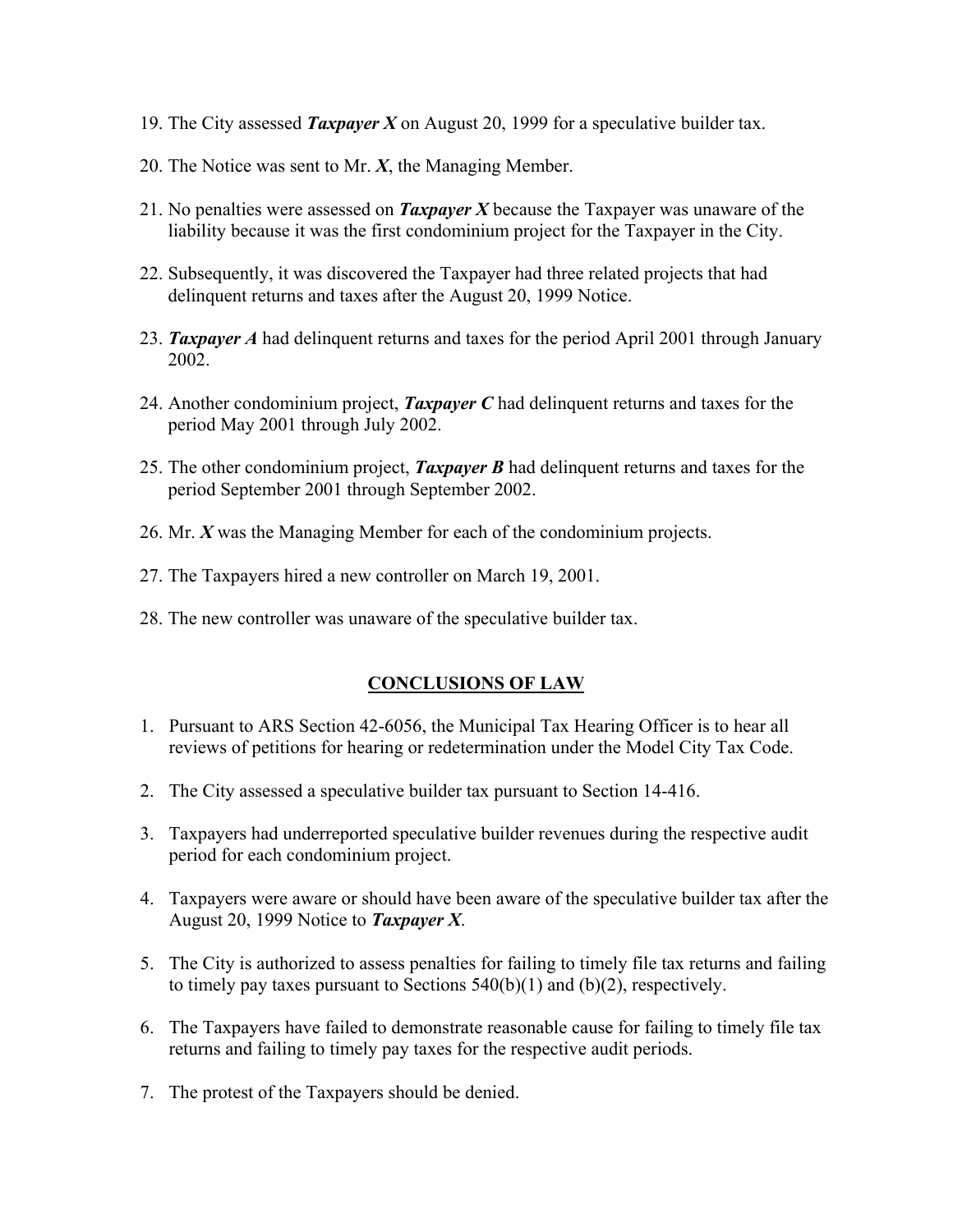- 19. The City assessed *Taxpayer X* on August 20, 1999 for a speculative builder tax.
- 20. The Notice was sent to Mr. *X*, the Managing Member.
- 21. No penalties were assessed on *Taxpayer X* because the Taxpayer was unaware of the liability because it was the first condominium project for the Taxpayer in the City.
- 22. Subsequently, it was discovered the Taxpayer had three related projects that had delinquent returns and taxes after the August 20, 1999 Notice.
- 23. *Taxpayer A* had delinquent returns and taxes for the period April 2001 through January 2002.
- 24. Another condominium project, *Taxpayer C* had delinquent returns and taxes for the period May 2001 through July 2002.
- 25. The other condominium project, *Taxpayer B* had delinquent returns and taxes for the period September 2001 through September 2002.
- 26. Mr. *X* was the Managing Member for each of the condominium projects.
- 27. The Taxpayers hired a new controller on March 19, 2001.
- 28. The new controller was unaware of the speculative builder tax.

### **CONCLUSIONS OF LAW**

- 1. Pursuant to ARS Section 42-6056, the Municipal Tax Hearing Officer is to hear all reviews of petitions for hearing or redetermination under the Model City Tax Code.
- 2. The City assessed a speculative builder tax pursuant to Section 14-416.
- 3. Taxpayers had underreported speculative builder revenues during the respective audit period for each condominium project.
- 4. Taxpayers were aware or should have been aware of the speculative builder tax after the August 20, 1999 Notice to *Taxpayer X*.
- 5. The City is authorized to assess penalties for failing to timely file tax returns and failing to timely pay taxes pursuant to Sections  $540(b)(1)$  and  $(b)(2)$ , respectively.
- 6. The Taxpayers have failed to demonstrate reasonable cause for failing to timely file tax returns and failing to timely pay taxes for the respective audit periods.
- 7. The protest of the Taxpayers should be denied.